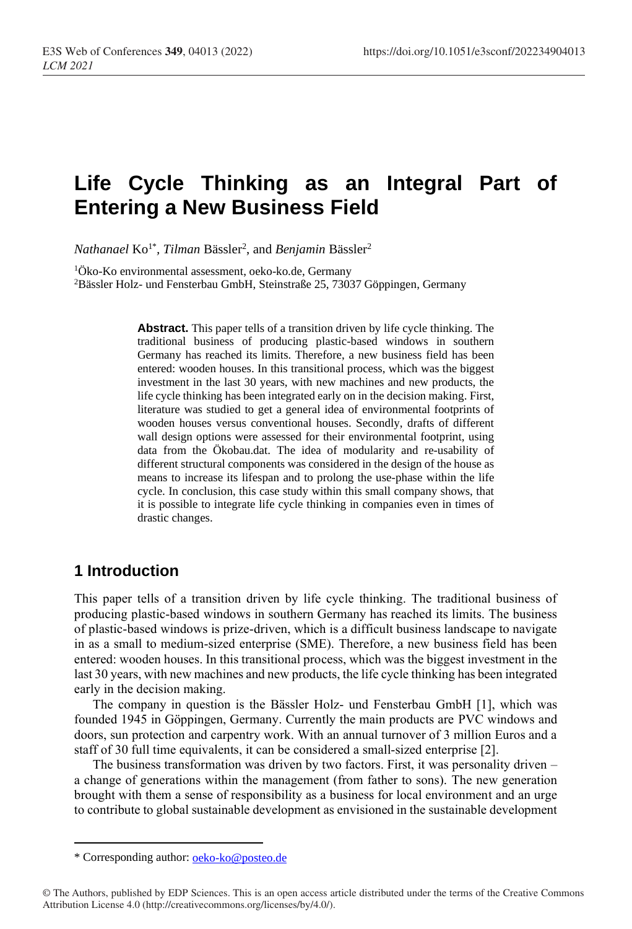# **Life Cycle Thinking as an Integral Part of Entering a New Business Field**

 $$ 

<sup>1</sup>Öko-Ko environmental assessment, oeko-ko.de, Germany <sup>2</sup>Bässler Holz- und Fensterbau GmbH, Steinstraße 25, 73037 Göppingen, Germany

> **Abstract.** This paper tells of a transition driven by life cycle thinking. The traditional business of producing plastic-based windows in southern Germany has reached its limits. Therefore, a new business field has been entered: wooden houses. In this transitional process, which was the biggest investment in the last 30 years, with new machines and new products, the life cycle thinking has been integrated early on in the decision making. First, literature was studied to get a general idea of environmental footprints of wooden houses versus conventional houses. Secondly, drafts of different wall design options were assessed for their environmental footprint, using data from the Ökobau.dat. The idea of modularity and re-usability of different structural components was considered in the design of the house as means to increase its lifespan and to prolong the use-phase within the life cycle. In conclusion, this case study within this small company shows, that it is possible to integrate life cycle thinking in companies even in times of drastic changes.

#### **1 Introduction**

This paper tells of a transition driven by life cycle thinking. The traditional business of producing plastic-based windows in southern Germany has reached its limits. The business of plastic-based windows is prize-driven, which is a difficult business landscape to navigate in as a small to medium-sized enterprise (SME). Therefore, a new business field has been entered: wooden houses. In this transitional process, which was the biggest investment in the last 30 years, with new machines and new products, the life cycle thinking has been integrated early in the decision making.

The company in question is the Bässler Holz- und Fensterbau GmbH [1], which was founded 1945 in Göppingen, Germany. Currently the main products are PVC windows and doors, sun protection and carpentry work. With an annual turnover of 3 million Euros and a staff of 30 full time equivalents, it can be considered a small-sized enterprise [2].

The business transformation was driven by two factors. First, it was personality driven – a change of generations within the management (from father to sons). The new generation brought with them a sense of responsibility as a business for local environment and an urge to contribute to global sustainable development as envisioned in the sustainable development

<sup>\*</sup> Corresponding author: [oeko-ko@posteo.de](mailto:oeko-ko@posteo.de)

<sup>©</sup> The Authors, published by EDP Sciences. This is an open access article distributed under the terms of the Creative Commons Attribution License 4.0 (http://creativecommons.org/licenses/by/4.0/).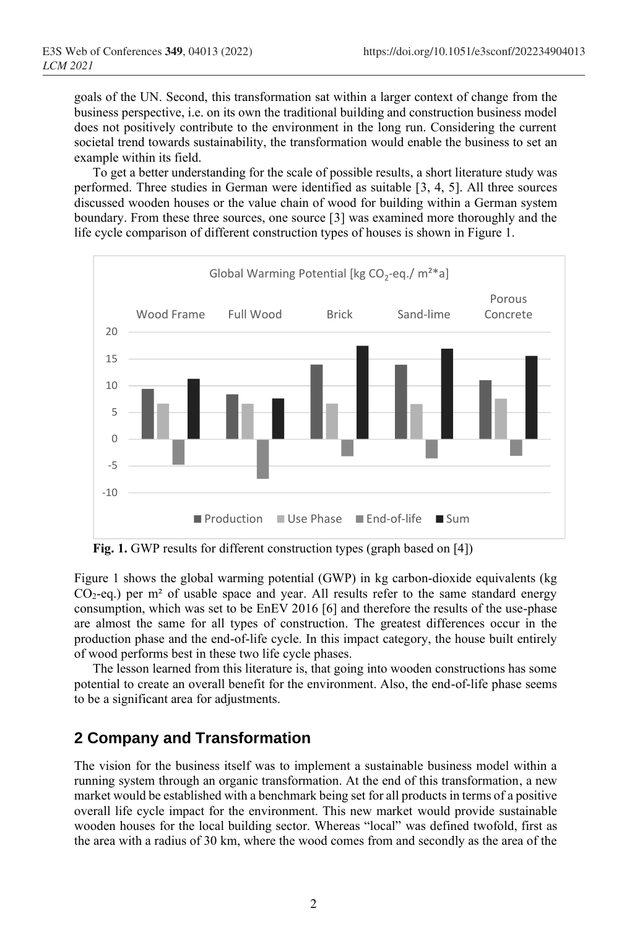goals of the UN. Second, this transformation sat within a larger context of change from the business perspective, i.e. on its own the traditional building and construction business model does not positively contribute to the environment in the long run. Considering the current societal trend towards sustainability, the transformation would enable the business to set an example within its field.

To get a better understanding for the scale of possible results, a short literature study was performed. Three studies in German were identified as suitable [3, 4, 5]. All three sources discussed wooden houses or the value chain of wood for building within a German system boundary. From these three sources, one source [3] was examined more thoroughly and the life cycle comparison of different construction types of houses is shown in Figure 1.



**Fig. 1.** GWP results for different construction types (graph based on [4])

Figure 1 shows the global warming potential (GWP) in kg carbon-dioxide equivalents (kg  $CO_2$ -eq.) per m<sup>2</sup> of usable space and year. All results refer to the same standard energy consumption, which was set to be EnEV 2016 [6] and therefore the results of the use-phase are almost the same for all types of construction. The greatest differences occur in the production phase and the end-of-life cycle. In this impact category, the house built entirely of wood performs best in these two life cycle phases.

The lesson learned from this literature is, that going into wooden constructions has some potential to create an overall benefit for the environment. Also, the end-of-life phase seems to be a significant area for adjustments.

### **2 Company and Transformation**

The vision for the business itself was to implement a sustainable business model within a running system through an organic transformation. At the end of this transformation, a new market would be established with a benchmark being set for all products in terms of a positive overall life cycle impact for the environment. This new market would provide sustainable wooden houses for the local building sector. Whereas "local" was defined twofold, first as the area with a radius of 30 km, where the wood comes from and secondly as the area of the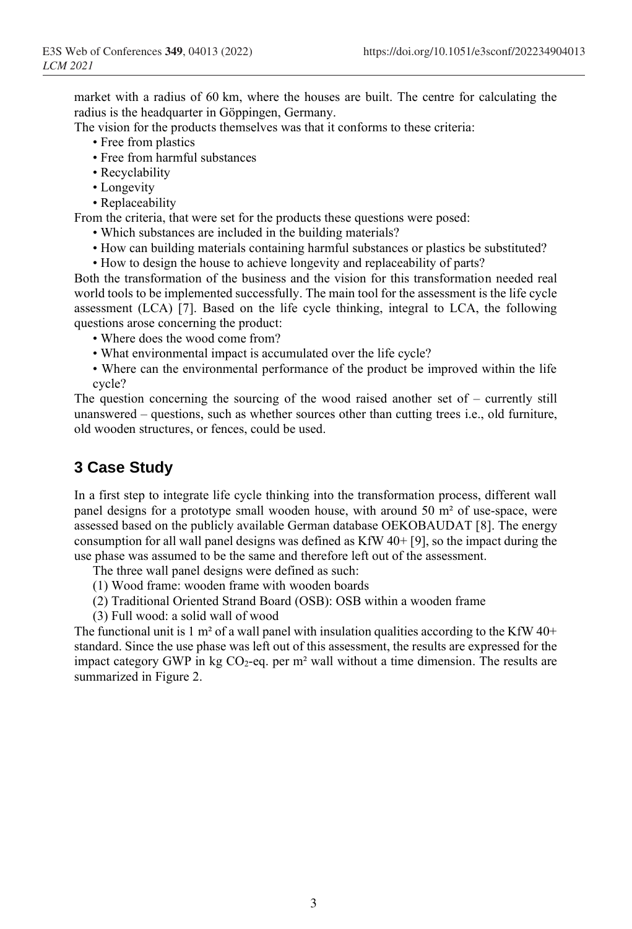market with a radius of 60 km, where the houses are built. The centre for calculating the radius is the headquarter in Göppingen, Germany.

The vision for the products themselves was that it conforms to these criteria:

- Free from plastics
- Free from harmful substances
- Recyclability
- Longevity
- Replaceability

From the criteria, that were set for the products these questions were posed:

- Which substances are included in the building materials?
- How can building materials containing harmful substances or plastics be substituted?
- How to design the house to achieve longevity and replaceability of parts?

Both the transformation of the business and the vision for this transformation needed real world tools to be implemented successfully. The main tool for the assessment is the life cycle assessment (LCA) [7]. Based on the life cycle thinking, integral to LCA, the following questions arose concerning the product:

- Where does the wood come from?
- What environmental impact is accumulated over the life cycle?
- Where can the environmental performance of the product be improved within the life cycle?

The question concerning the sourcing of the wood raised another set of – currently still unanswered – questions, such as whether sources other than cutting trees i.e., old furniture, old wooden structures, or fences, could be used.

## **3 Case Study**

In a first step to integrate life cycle thinking into the transformation process, different wall panel designs for a prototype small wooden house, with around 50 m² of use-space, were assessed based on the publicly available German database OEKOBAUDAT [8]. The energy consumption for all wall panel designs was defined as  $KfW 40+ [9]$ , so the impact during the use phase was assumed to be the same and therefore left out of the assessment.

The three wall panel designs were defined as such:

- (1) Wood frame: wooden frame with wooden boards
- (2) Traditional Oriented Strand Board (OSB): OSB within a wooden frame
- (3) Full wood: a solid wall of wood

The functional unit is 1 m<sup>2</sup> of a wall panel with insulation qualities according to the KfW 40+ standard. Since the use phase was left out of this assessment, the results are expressed for the impact category GWP in kg  $CO<sub>2</sub>$ -eq. per m<sup>2</sup> wall without a time dimension. The results are summarized in Figure 2.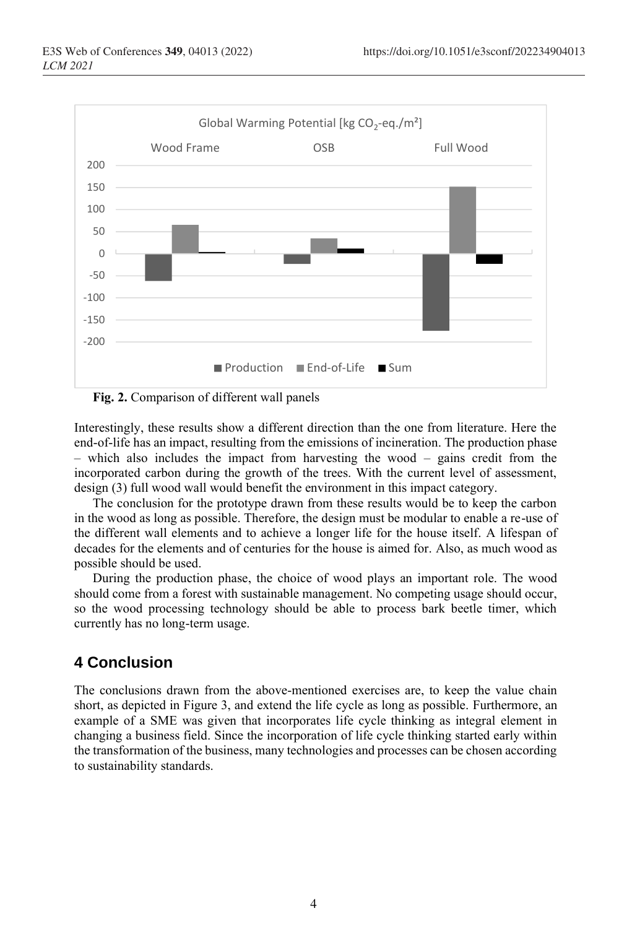

**Fig. 2.** Comparison of different wall panels

Interestingly, these results show a different direction than the one from literature. Here the end-of-life has an impact, resulting from the emissions of incineration. The production phase – which also includes the impact from harvesting the wood – gains credit from the incorporated carbon during the growth of the trees. With the current level of assessment, design (3) full wood wall would benefit the environment in this impact category.

The conclusion for the prototype drawn from these results would be to keep the carbon in the wood as long as possible. Therefore, the design must be modular to enable a re-use of the different wall elements and to achieve a longer life for the house itself. A lifespan of decades for the elements and of centuries for the house is aimed for. Also, as much wood as possible should be used.

During the production phase, the choice of wood plays an important role. The wood should come from a forest with sustainable management. No competing usage should occur, so the wood processing technology should be able to process bark beetle timer, which currently has no long-term usage.

## **4 Conclusion**

The conclusions drawn from the above-mentioned exercises are, to keep the value chain short, as depicted in Figure 3, and extend the life cycle as long as possible. Furthermore, an example of a SME was given that incorporates life cycle thinking as integral element in changing a business field. Since the incorporation of life cycle thinking started early within the transformation of the business, many technologies and processes can be chosen according to sustainability standards.